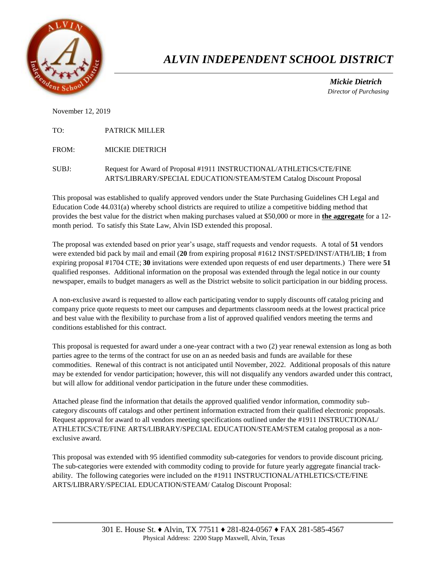

## *ALVIN INDEPENDENT SCHOOL DISTRICT*

 *Mickie Dietrich Director of Purchasing*

November 12, 2019

TO: PATRICK MILLER

FROM: MICKIE DIETRICH

SUBJ: Request for Award of Proposal #1911 INSTRUCTIONAL/ATHLETICS/CTE/FINE ARTS/LIBRARY/SPECIAL EDUCATION/STEAM/STEM Catalog Discount Proposal

This proposal was established to qualify approved vendors under the State Purchasing Guidelines CH Legal and Education Code 44.031(a) whereby school districts are required to utilize a competitive bidding method that provides the best value for the district when making purchases valued at \$50,000 or more in **the aggregate** for a 12 month period. To satisfy this State Law, Alvin ISD extended this proposal.

The proposal was extended based on prior year's usage, staff requests and vendor requests. A total of **51** vendors were extended bid pack by mail and email (**20** from expiring proposal #1612 INST/SPED/INST/ATH/LIB; **1** from expiring proposal #1704 CTE; **30** invitations were extended upon requests of end user departments.) There were **51** qualified responses. Additional information on the proposal was extended through the legal notice in our county newspaper, emails to budget managers as well as the District website to solicit participation in our bidding process.

A non-exclusive award is requested to allow each participating vendor to supply discounts off catalog pricing and company price quote requests to meet our campuses and departments classroom needs at the lowest practical price and best value with the flexibility to purchase from a list of approved qualified vendors meeting the terms and conditions established for this contract.

This proposal is requested for award under a one-year contract with a two (2) year renewal extension as long as both parties agree to the terms of the contract for use on an as needed basis and funds are available for these commodities. Renewal of this contract is not anticipated until November, 2022. Additional proposals of this nature may be extended for vendor participation; however, this will not disqualify any vendors awarded under this contract, but will allow for additional vendor participation in the future under these commodities.

Attached please find the information that details the approved qualified vendor information, commodity subcategory discounts off catalogs and other pertinent information extracted from their qualified electronic proposals. Request approval for award to all vendors meeting specifications outlined under the #1911 INSTRUCTIONAL/ ATHLETICS/CTE/FINE ARTS/LIBRARY/SPECIAL EDUCATION/STEAM/STEM catalog proposal as a nonexclusive award.

This proposal was extended with 95 identified commodity sub-categories for vendors to provide discount pricing. The sub-categories were extended with commodity coding to provide for future yearly aggregate financial trackability. The following categories were included on the #1911 INSTRUCTIONAL/ATHLETICS/CTE/FINE ARTS/LIBRARY/SPECIAL EDUCATION/STEAM/ Catalog Discount Proposal: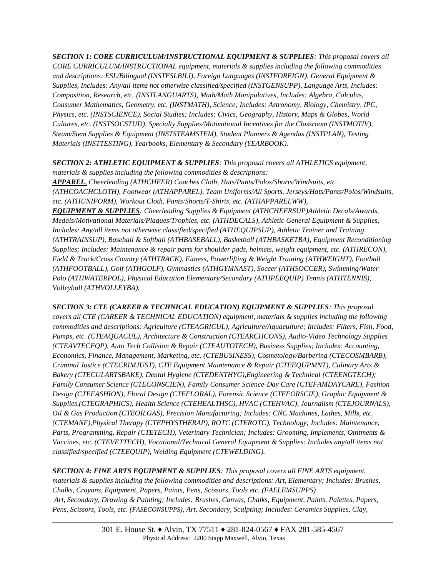*SECTION 1: CORE CURRICULUM/INSTRUCTIONAL EQUIPMENT & SUPPLIES: This proposal covers all CORE CURRICULUM/INSTRUCTIONAL equipment, materials & supplies including the following commodities and descriptions: ESL/Bilingual (INSTESLBILI), Foreign Languages (INSTFOREIGN), General Equipment & Supplies, Includes: Any/all items not otherwise classified/specified (INSTGENSUPP), Language Arts, Includes: Composition, Research, etc. (INSTLANGUARTS), Math/Math Manipulatives, Includes: Algebra, Calculus, Consumer Mathematics, Geometry, etc. (INSTMATH), Science; Includes: Astronomy, Biology, Chemistry, IPC, Physics, etc. (INSTSCIENCE), Social Studies; Includes: Civics, Geography, History, Maps & Globes, World Cultures, etc. (INSTSOCSTUD), Specialty Supplies/Motivational Incentives for the Classroom (INSTMOTIV), Steam/Stem Supplies & Equipment (INSTSTEAMSTEM), Student Planners & Agendas (INSTPLAN), Testing Materials (INSTTESTING), Yearbooks, Elementary & Secondary (YEARBOOK).* 

*SECTION 2: ATHLETIC EQUIPMENT & SUPPLIES: This proposal covers all ATHLETICS equipment,* 

*materials & supplies including the following commodities & descriptions: APPAREL, Cheerleading (ATHCHEER) Coaches Cloth, Hats/Pants/Polos/Shorts/Windsuits, etc. (ATHCOACHCLOTH), Footwear (ATHAPPAREL), Team Uniforms/All Sports, Jerseys/Hats/Pants/Polos/Windsuits, etc. (ATHUNIFORM), Workout Cloth, Pants/Shorts/T-Shirts, etc. (ATHAPPARELWW), EQUIPMENT & SUPPLIES: Cheerleading Supplies & Equipment (ATHCHEERSUP)Athletic Decals/Awards,* 

*Medals/Motivational Materials/Plaques/Trophies, etc. (ATHDECALS), Athletic General Equipment & Supplies, Includes: Any/all items not otherwise classified/specified (ATHEQUIPSUP), Athletic Trainer and Training (ATHTRAINSUP), Baseball & Softball (ATHBASEBALL), Basketball (ATHBASKETBA), Equipment Reconditioning Supplies; Includes: Maintenance & repair parts for shoulder pads, helmets, weight equipment, etc. (ATHRECON), Field & Track/Cross Country (ATHTRACK), Fitness, Powerlifting & Weight Training (ATHWEIGHT), Football (ATHFOOTBALL), Golf (ATHGOLF), Gymnastics (ATHGYMNAST), Soccer (ATHSOCCER), Swimming/Water Polo (ATHWATERPOL), Physical Education Elementary/Secondary (ATHPEEQUIP) Tennis (ATHTENNIS), Volleyball (ATHVOLLEYBA).* 

*SECTION 3: CTE (CAREER & TECHNICAL EDUCATION) EQUIPMENT & SUPPLIES: This proposal covers all CTE (CAREER & TECHNICAL EDUCATION) equipment, materials & supplies including the following commodities and descriptions: Agriculture (CTEAGRICUL), Agriculture/Aquaculture; Includes: Filters, Fish, Food, Pumps, etc. (CTEAQUACUL), Architecture & Construction (CTEARCHCONS), Audio-Video Technology Supplies (CTEAVTECEQP), Auto Tech Collision & Repair (CTEAUTOTECH), Business Supplies; Includes: Accounting, Economics, Finance, Management, Marketing, etc. (CTEBUSINESS), Cosmetology/Barbering (CTECOSMBARB), Criminal Justice (CTECRIMJUST), CTE Equipment Maintenance & Repair (CTEEQUPMNT), Culinary Arts & Bakery (CTECULARTSBAKE), Dental Hygiene (CTEDENTHYG),Engineering & Technical (CTEENGTECH); Family Consumer Science (CTECONSCIEN), Family Consumer Science-Day Care (CTEFAMDAYCARE), Fashion Design (CTEFASHION), Floral Design (CTEFLORAL), Forensic Science (CTEFORSCIE), Graphic Equipment & Supplies,(CTEGRAPHICS), Health Science (CTEHEALTHSC), HVAC (CTEHVAC), Journalism (CTEJOURNALS), Oil & Gas Production (CTEOILGAS), Precision Manufacturing; Includes: CNC Machines, Lathes, Mills, etc. (CTEMANF),Physical Therapy (CTEPHYSTHERAP), ROTC (CTEROTC), Technology; Includes: Maintenance, Parts, Programming, Repair (CTETECH), Veterinary Technician; Includes: Grooming, Implements, Ointments & Vaccines, etc. (CTEVETTECH), Vocational/Technical General Equipment & Supplies: Includes any/all items not classified/specified (CTEEQUIP), Welding Equipment (CTEWELDING).* 

*SECTION 4: FINE ARTS EQUIPMENT & SUPPLIES: This proposal covers all FINE ARTS equipment, materials & supplies including the following commodities and descriptions: Art, Elementary; Includes: Brushes, Chalks, Crayons, Equipment, Papers, Paints, Pens, Scissors, Tools etc. (FAELEMSUPPS) Art, Secondary, Drawing & Painting; Includes: Brushes, Canvas, Chalks, Equipment, Paints, Palettes, Papers, Pens, Scissors, Tools, etc. (FASECONSUPPS), Art, Secondary, Sculpting; Includes: Ceramics Supplies, Clay,*